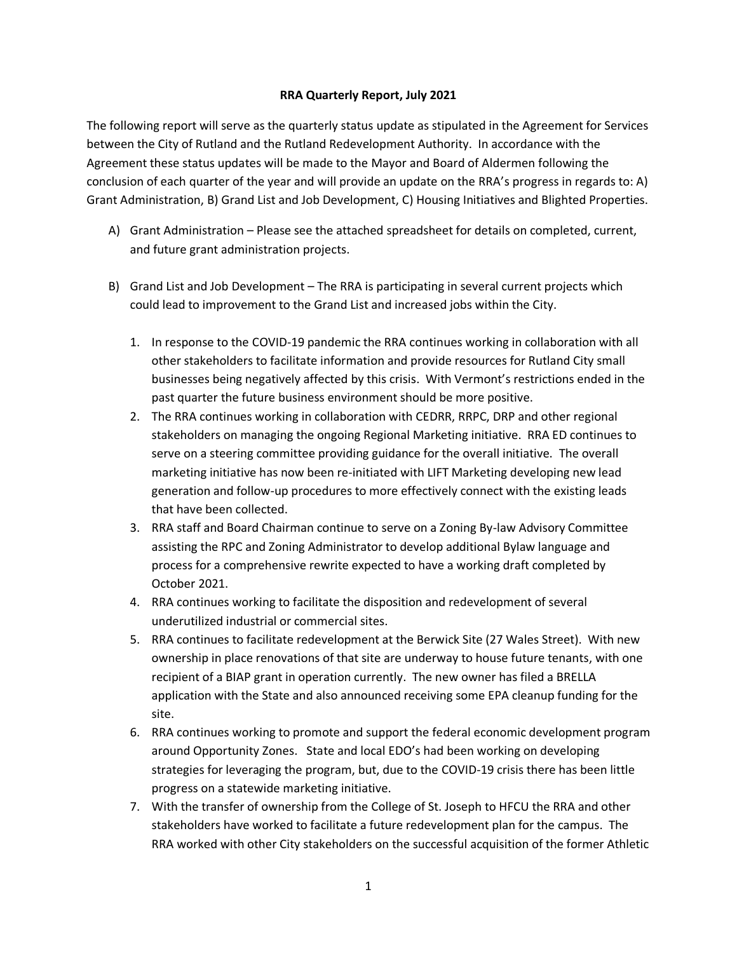## **RRA Quarterly Report, July 2021**

The following report will serve as the quarterly status update as stipulated in the Agreement for Services between the City of Rutland and the Rutland Redevelopment Authority. In accordance with the Agreement these status updates will be made to the Mayor and Board of Aldermen following the conclusion of each quarter of the year and will provide an update on the RRA's progress in regards to: A) Grant Administration, B) Grand List and Job Development, C) Housing Initiatives and Blighted Properties.

- A) Grant Administration Please see the attached spreadsheet for details on completed, current, and future grant administration projects.
- B) Grand List and Job Development The RRA is participating in several current projects which could lead to improvement to the Grand List and increased jobs within the City.
	- 1. In response to the COVID-19 pandemic the RRA continues working in collaboration with all other stakeholders to facilitate information and provide resources for Rutland City small businesses being negatively affected by this crisis. With Vermont's restrictions ended in the past quarter the future business environment should be more positive.
	- 2. The RRA continues working in collaboration with CEDRR, RRPC, DRP and other regional stakeholders on managing the ongoing Regional Marketing initiative. RRA ED continues to serve on a steering committee providing guidance for the overall initiative. The overall marketing initiative has now been re-initiated with LIFT Marketing developing new lead generation and follow-up procedures to more effectively connect with the existing leads that have been collected.
	- 3. RRA staff and Board Chairman continue to serve on a Zoning By-law Advisory Committee assisting the RPC and Zoning Administrator to develop additional Bylaw language and process for a comprehensive rewrite expected to have a working draft completed by October 2021.
	- 4. RRA continues working to facilitate the disposition and redevelopment of several underutilized industrial or commercial sites.
	- 5. RRA continues to facilitate redevelopment at the Berwick Site (27 Wales Street). With new ownership in place renovations of that site are underway to house future tenants, with one recipient of a BIAP grant in operation currently. The new owner has filed a BRELLA application with the State and also announced receiving some EPA cleanup funding for the site.
	- 6. RRA continues working to promote and support the federal economic development program around Opportunity Zones. State and local EDO's had been working on developing strategies for leveraging the program, but, due to the COVID-19 crisis there has been little progress on a statewide marketing initiative.
	- 7. With the transfer of ownership from the College of St. Joseph to HFCU the RRA and other stakeholders have worked to facilitate a future redevelopment plan for the campus. The RRA worked with other City stakeholders on the successful acquisition of the former Athletic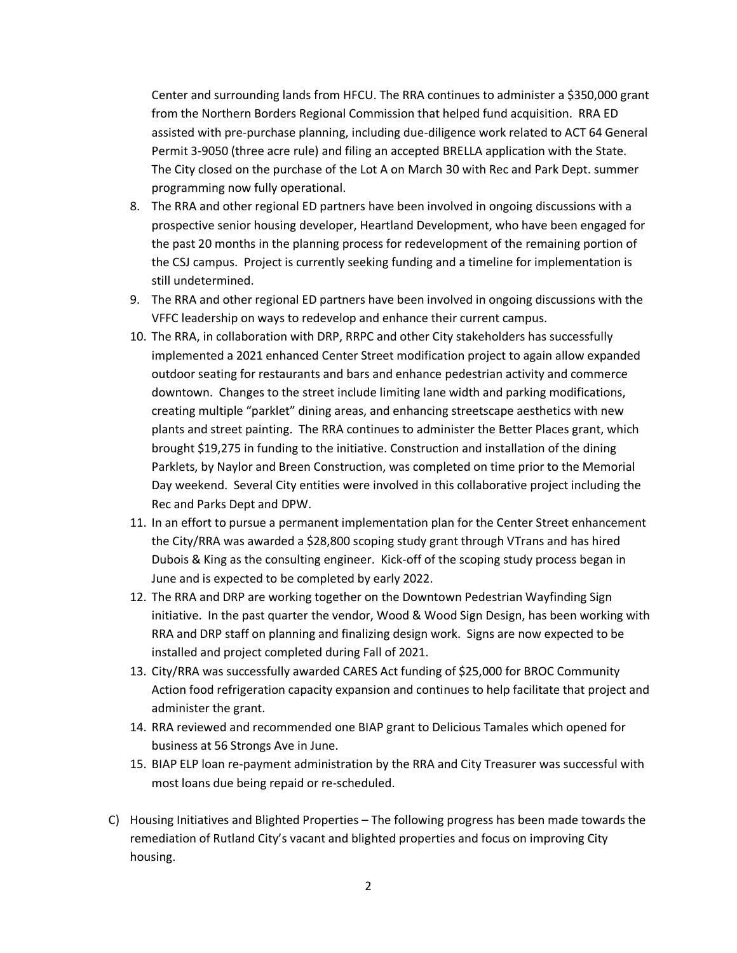Center and surrounding lands from HFCU. The RRA continues to administer a \$350,000 grant from the Northern Borders Regional Commission that helped fund acquisition. RRA ED assisted with pre-purchase planning, including due-diligence work related to ACT 64 General Permit 3-9050 (three acre rule) and filing an accepted BRELLA application with the State. The City closed on the purchase of the Lot A on March 30 with Rec and Park Dept. summer programming now fully operational.

- 8. The RRA and other regional ED partners have been involved in ongoing discussions with a prospective senior housing developer, Heartland Development, who have been engaged for the past 20 months in the planning process for redevelopment of the remaining portion of the CSJ campus. Project is currently seeking funding and a timeline for implementation is still undetermined.
- 9. The RRA and other regional ED partners have been involved in ongoing discussions with the VFFC leadership on ways to redevelop and enhance their current campus.
- 10. The RRA, in collaboration with DRP, RRPC and other City stakeholders has successfully implemented a 2021 enhanced Center Street modification project to again allow expanded outdoor seating for restaurants and bars and enhance pedestrian activity and commerce downtown. Changes to the street include limiting lane width and parking modifications, creating multiple "parklet" dining areas, and enhancing streetscape aesthetics with new plants and street painting. The RRA continues to administer the Better Places grant, which brought \$19,275 in funding to the initiative. Construction and installation of the dining Parklets, by Naylor and Breen Construction, was completed on time prior to the Memorial Day weekend. Several City entities were involved in this collaborative project including the Rec and Parks Dept and DPW.
- 11. In an effort to pursue a permanent implementation plan for the Center Street enhancement the City/RRA was awarded a \$28,800 scoping study grant through VTrans and has hired Dubois & King as the consulting engineer. Kick-off of the scoping study process began in June and is expected to be completed by early 2022.
- 12. The RRA and DRP are working together on the Downtown Pedestrian Wayfinding Sign initiative. In the past quarter the vendor, Wood & Wood Sign Design, has been working with RRA and DRP staff on planning and finalizing design work. Signs are now expected to be installed and project completed during Fall of 2021.
- 13. City/RRA was successfully awarded CARES Act funding of \$25,000 for BROC Community Action food refrigeration capacity expansion and continues to help facilitate that project and administer the grant.
- 14. RRA reviewed and recommended one BIAP grant to Delicious Tamales which opened for business at 56 Strongs Ave in June.
- 15. BIAP ELP loan re-payment administration by the RRA and City Treasurer was successful with most loans due being repaid or re-scheduled.
- C) Housing Initiatives and Blighted Properties The following progress has been made towards the remediation of Rutland City's vacant and blighted properties and focus on improving City housing.